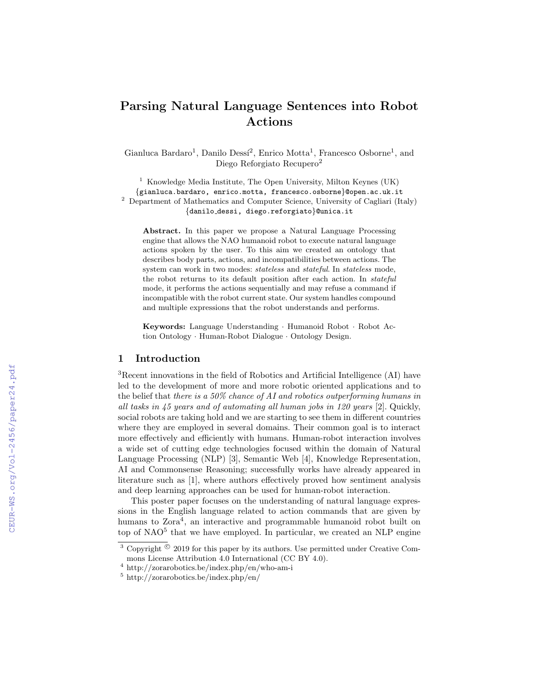# Parsing Natural Language Sentences into Robot Actions

Gianluca Bardaro<sup>1</sup>, Danilo Dessí<sup>2</sup>, Enrico Motta<sup>1</sup>, Francesco Osborne<sup>1</sup>, and Diego Reforgiato Recupero<sup>2</sup>

<sup>1</sup> Knowledge Media Institute, The Open University, Milton Keynes (UK) {gianluca.bardaro, enrico.motta, francesco.osborne}@open.ac.uk.it <sup>2</sup> Department of Mathematics and Computer Science, University of Cagliari (Italy) {danilo dessi, diego.reforgiato}@unica.it

Abstract. In this paper we propose a Natural Language Processing engine that allows the NAO humanoid robot to execute natural language actions spoken by the user. To this aim we created an ontology that describes body parts, actions, and incompatibilities between actions. The system can work in two modes: stateless and stateful. In stateless mode, the robot returns to its default position after each action. In stateful mode, it performs the actions sequentially and may refuse a command if incompatible with the robot current state. Our system handles compound and multiple expressions that the robot understands and performs.

Keywords: Language Understanding · Humanoid Robot · Robot Action Ontology · Human-Robot Dialogue · Ontology Design.

## 1 Introduction

<sup>3</sup>Recent innovations in the field of Robotics and Artificial Intelligence (AI) have led to the development of more and more robotic oriented applications and to the belief that there is a 50% chance of AI and robotics outperforming humans in all tasks in 45 years and of automating all human jobs in 120 years [2]. Quickly, social robots are taking hold and we are starting to see them in different countries where they are employed in several domains. Their common goal is to interact more effectively and efficiently with humans. Human-robot interaction involves a wide set of cutting edge technologies focused within the domain of Natural Language Processing (NLP) [3], Semantic Web [4], Knowledge Representation, AI and Commonsense Reasoning; successfully works have already appeared in literature such as [1], where authors effectively proved how sentiment analysis and deep learning approaches can be used for human-robot interaction.

This poster paper focuses on the understanding of natural language expressions in the English language related to action commands that are given by humans to Zora<sup>4</sup>, an interactive and programmable humanoid robot built on top of NAO<sup>5</sup> that we have employed. In particular, we created an NLP engine

<sup>&</sup>lt;sup>3</sup> Copyright  $\circledcirc$  2019 for this paper by its authors. Use permitted under Creative Commons License Attribution 4.0 International (CC BY 4.0).

<sup>4</sup> http://zorarobotics.be/index.php/en/who-am-i

 $5 \text{ http://zorarobotics.be/index.php/en/}$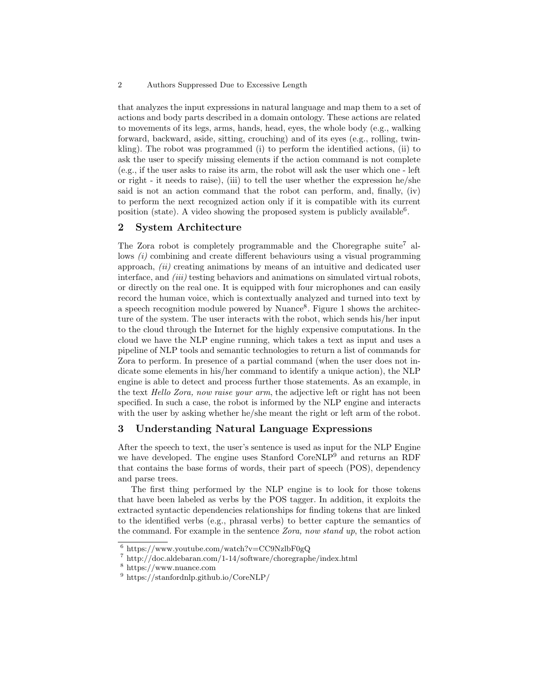#### 2 Authors Suppressed Due to Excessive Length

that analyzes the input expressions in natural language and map them to a set of actions and body parts described in a domain ontology. These actions are related to movements of its legs, arms, hands, head, eyes, the whole body (e.g., walking forward, backward, aside, sitting, crouching) and of its eyes (e.g., rolling, twinkling). The robot was programmed (i) to perform the identified actions, (ii) to ask the user to specify missing elements if the action command is not complete (e.g., if the user asks to raise its arm, the robot will ask the user which one - left or right - it needs to raise), (iii) to tell the user whether the expression he/she said is not an action command that the robot can perform, and, finally, (iv) to perform the next recognized action only if it is compatible with its current position (state). A video showing the proposed system is publicly available<sup>6</sup>.

### 2 System Architecture

The Zora robot is completely programmable and the Choregraphe suite<sup>7</sup> allows (i) combining and create different behaviours using a visual programming approach, (ii) creating animations by means of an intuitive and dedicated user interface, and *(iii)* testing behaviors and animations on simulated virtual robots, or directly on the real one. It is equipped with four microphones and can easily record the human voice, which is contextually analyzed and turned into text by a speech recognition module powered by Nuance<sup>8</sup>. Figure 1 shows the architecture of the system. The user interacts with the robot, which sends his/her input to the cloud through the Internet for the highly expensive computations. In the cloud we have the NLP engine running, which takes a text as input and uses a pipeline of NLP tools and semantic technologies to return a list of commands for Zora to perform. In presence of a partial command (when the user does not indicate some elements in his/her command to identify a unique action), the NLP engine is able to detect and process further those statements. As an example, in the text Hello Zora, now raise your arm, the adjective left or right has not been specified. In such a case, the robot is informed by the NLP engine and interacts with the user by asking whether he/she meant the right or left arm of the robot.

## 3 Understanding Natural Language Expressions

After the speech to text, the user's sentence is used as input for the NLP Engine we have developed. The engine uses Stanford CoreNLP<sup>9</sup> and returns an RDF that contains the base forms of words, their part of speech (POS), dependency and parse trees.

The first thing performed by the NLP engine is to look for those tokens that have been labeled as verbs by the POS tagger. In addition, it exploits the extracted syntactic dependencies relationships for finding tokens that are linked to the identified verbs (e.g., phrasal verbs) to better capture the semantics of the command. For example in the sentence Zora, now stand up, the robot action

 $6 \text{ https://www.voutube.com/watch?v=CC9NzlbF0gQ}$ 

<sup>7</sup> http://doc.aldebaran.com/1-14/software/choregraphe/index.html

<sup>8</sup> https://www.nuance.com

<sup>9</sup> https://stanfordnlp.github.io/CoreNLP/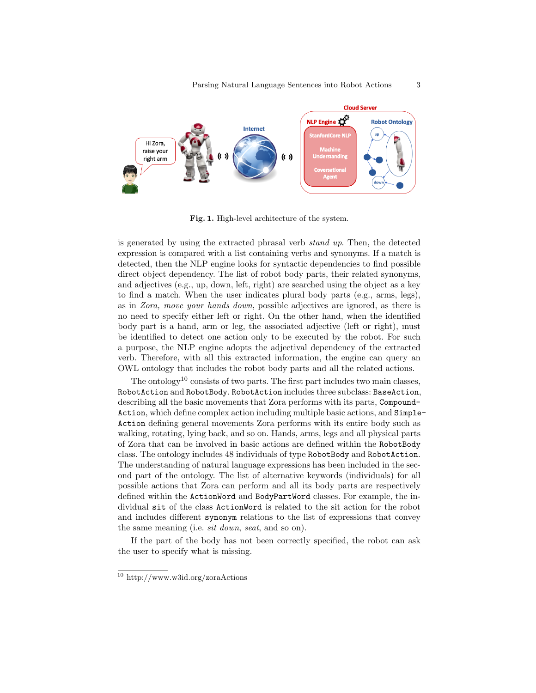

Fig. 1. High-level architecture of the system.

is generated by using the extracted phrasal verb stand up. Then, the detected expression is compared with a list containing verbs and synonyms. If a match is detected, then the NLP engine looks for syntactic dependencies to find possible direct object dependency. The list of robot body parts, their related synonyms, and adjectives (e.g., up, down, left, right) are searched using the object as a key to find a match. When the user indicates plural body parts (e.g., arms, legs), as in Zora, move your hands down, possible adjectives are ignored, as there is no need to specify either left or right. On the other hand, when the identified body part is a hand, arm or leg, the associated adjective (left or right), must be identified to detect one action only to be executed by the robot. For such a purpose, the NLP engine adopts the adjectival dependency of the extracted verb. Therefore, with all this extracted information, the engine can query an OWL ontology that includes the robot body parts and all the related actions.

The ontology<sup>10</sup> consists of two parts. The first part includes two main classes, RobotAction and RobotBody. RobotAction includes three subclass: BaseAction, describing all the basic movements that Zora performs with its parts, Compound-Action, which define complex action including multiple basic actions, and Simple-Action defining general movements Zora performs with its entire body such as walking, rotating, lying back, and so on. Hands, arms, legs and all physical parts of Zora that can be involved in basic actions are defined within the RobotBody class. The ontology includes 48 individuals of type RobotBody and RobotAction. The understanding of natural language expressions has been included in the second part of the ontology. The list of alternative keywords (individuals) for all possible actions that Zora can perform and all its body parts are respectively defined within the ActionWord and BodyPartWord classes. For example, the individual sit of the class ActionWord is related to the sit action for the robot and includes different synonym relations to the list of expressions that convey the same meaning (i.e. *sit down*, *seat*, and so on).

If the part of the body has not been correctly specified, the robot can ask the user to specify what is missing.

<sup>10</sup> http://www.w3id.org/zoraActions